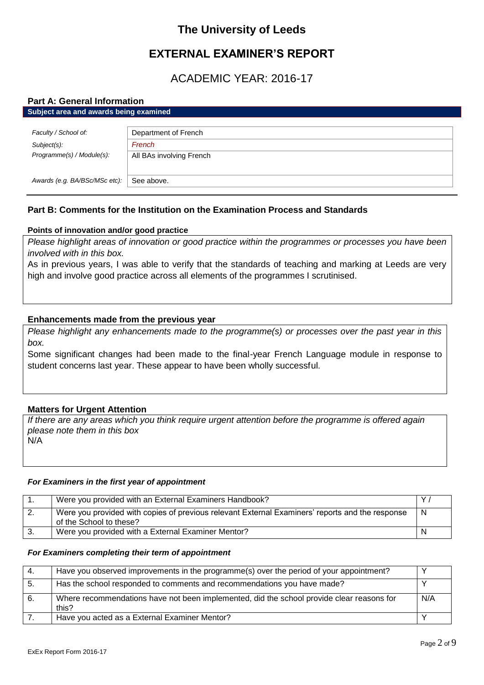# **The University of Leeds**

# **EXTERNAL EXAMINER'S REPORT**

# ACADEMIC YEAR: 2016-17

# **Part A: General Information**

| Subject area and awards being examined |                          |
|----------------------------------------|--------------------------|
|                                        |                          |
| Faculty / School of:                   | Department of French     |
| $Subject(s)$ :                         | French                   |
| Programme(s) / Module(s):              | All BAs involving French |
|                                        |                          |
| Awards (e.g. BA/BSc/MSc etc):          | See above.               |

# **Part B: Comments for the Institution on the Examination Process and Standards**

# **Points of innovation and/or good practice**

*Please highlight areas of innovation or good practice within the programmes or processes you have been involved with in this box.*

As in previous years, I was able to verify that the standards of teaching and marking at Leeds are very high and involve good practice across all elements of the programmes I scrutinised.

# **Enhancements made from the previous year**

*Please highlight any enhancements made to the programme(s) or processes over the past year in this box.*

Some significant changes had been made to the final-year French Language module in response to student concerns last year. These appear to have been wholly successful.

# **Matters for Urgent Attention**

*If there are any areas which you think require urgent attention before the programme is offered again please note them in this box* N/A

# *For Examiners in the first year of appointment*

| Were you provided with an External Examiners Handbook?                                                                     |   |
|----------------------------------------------------------------------------------------------------------------------------|---|
| Were you provided with copies of previous relevant External Examiners' reports and the response<br>of the School to these? | N |
| Were you provided with a External Examiner Mentor?                                                                         |   |

### *For Examiners completing their term of appointment*

| 4.  | Have you observed improvements in the programme(s) over the period of your appointment?            |     |
|-----|----------------------------------------------------------------------------------------------------|-----|
| -5. | Has the school responded to comments and recommendations you have made?                            |     |
| 6.  | Where recommendations have not been implemented, did the school provide clear reasons for<br>this? | N/A |
|     | Have you acted as a External Examiner Mentor?                                                      |     |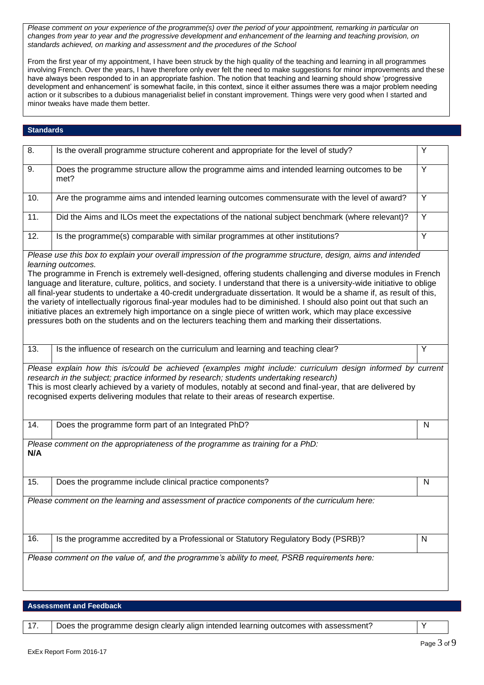*Please comment on your experience of the programme(s) over the period of your appointment, remarking in particular on changes from year to year and the progressive development and enhancement of the learning and teaching provision, on standards achieved, on marking and assessment and the procedures of the School*

From the first year of my appointment, I have been struck by the high quality of the teaching and learning in all programmes involving French. Over the years, I have therefore only ever felt the need to make suggestions for minor improvements and these have always been responded to in an appropriate fashion. The notion that teaching and learning should show 'progressive development and enhancement' is somewhat facile, in this context, since it either assumes there was a major problem needing action or it subscribes to a dubious managerialist belief in constant improvement. Things were very good when I started and minor tweaks have made them better.

# **Standards**

| $\overline{8}$ . | Is the overall programme structure coherent and appropriate for the level of study?                                                                                                                                                                                                                                                                                                                                                                                                                                                                                                                                                                                                                                                                                                                                                                         | Y            |
|------------------|-------------------------------------------------------------------------------------------------------------------------------------------------------------------------------------------------------------------------------------------------------------------------------------------------------------------------------------------------------------------------------------------------------------------------------------------------------------------------------------------------------------------------------------------------------------------------------------------------------------------------------------------------------------------------------------------------------------------------------------------------------------------------------------------------------------------------------------------------------------|--------------|
| 9.               | Does the programme structure allow the programme aims and intended learning outcomes to be<br>met?                                                                                                                                                                                                                                                                                                                                                                                                                                                                                                                                                                                                                                                                                                                                                          | Y            |
| 10.              | Are the programme aims and intended learning outcomes commensurate with the level of award?                                                                                                                                                                                                                                                                                                                                                                                                                                                                                                                                                                                                                                                                                                                                                                 | Y            |
| 11.              | Did the Aims and ILOs meet the expectations of the national subject benchmark (where relevant)?                                                                                                                                                                                                                                                                                                                                                                                                                                                                                                                                                                                                                                                                                                                                                             | Y            |
| 12.              | Is the programme(s) comparable with similar programmes at other institutions?                                                                                                                                                                                                                                                                                                                                                                                                                                                                                                                                                                                                                                                                                                                                                                               | Y            |
|                  | Please use this box to explain your overall impression of the programme structure, design, aims and intended<br>learning outcomes.<br>The programme in French is extremely well-designed, offering students challenging and diverse modules in French<br>language and literature, culture, politics, and society. I understand that there is a university-wide initiative to oblige<br>all final-year students to undertake a 40-credit undergraduate dissertation. It would be a shame if, as result of this,<br>the variety of intellectually rigorous final-year modules had to be diminished. I should also point out that such an<br>initiative places an extremely high importance on a single piece of written work, which may place excessive<br>pressures both on the students and on the lecturers teaching them and marking their dissertations. |              |
| 13.              | Is the influence of research on the curriculum and learning and teaching clear?                                                                                                                                                                                                                                                                                                                                                                                                                                                                                                                                                                                                                                                                                                                                                                             | Y            |
|                  | Please explain how this is/could be achieved (examples might include: curriculum design informed by current<br>research in the subject; practice informed by research; students undertaking research)<br>This is most clearly achieved by a variety of modules, notably at second and final-year, that are delivered by<br>recognised experts delivering modules that relate to their areas of research expertise.                                                                                                                                                                                                                                                                                                                                                                                                                                          |              |
| 14.              | Does the programme form part of an Integrated PhD?                                                                                                                                                                                                                                                                                                                                                                                                                                                                                                                                                                                                                                                                                                                                                                                                          | $\mathsf{N}$ |
| N/A              | Please comment on the appropriateness of the programme as training for a PhD:                                                                                                                                                                                                                                                                                                                                                                                                                                                                                                                                                                                                                                                                                                                                                                               |              |
| 15.              | Does the programme include clinical practice components?                                                                                                                                                                                                                                                                                                                                                                                                                                                                                                                                                                                                                                                                                                                                                                                                    | N            |
|                  | Please comment on the learning and assessment of practice components of the curriculum here:                                                                                                                                                                                                                                                                                                                                                                                                                                                                                                                                                                                                                                                                                                                                                                |              |
| 16.              | Is the programme accredited by a Professional or Statutory Regulatory Body (PSRB)?                                                                                                                                                                                                                                                                                                                                                                                                                                                                                                                                                                                                                                                                                                                                                                          | N            |
|                  | Please comment on the value of, and the programme's ability to meet, PSRB requirements here:                                                                                                                                                                                                                                                                                                                                                                                                                                                                                                                                                                                                                                                                                                                                                                |              |

**Assessment and Feedback**

17. Does the programme design clearly align intended learning outcomes with assessment? Y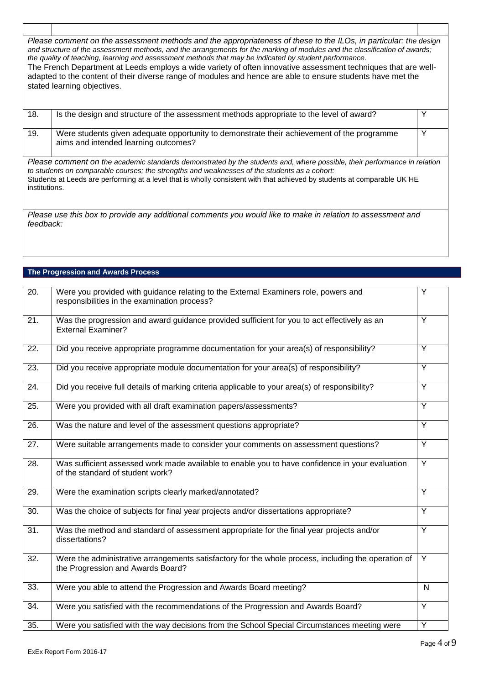| Please comment on the assessment methods and the appropriateness of these to the ILOs, in particular: the design<br>and structure of the assessment methods, and the arrangements for the marking of modules and the classification of awards;<br>the quality of teaching, learning and assessment methods that may be indicated by student performance.<br>The French Department at Leeds employs a wide variety of often innovative assessment techniques that are well-<br>adapted to the content of their diverse range of modules and hence are able to ensure students have met the<br>stated learning objectives. |                                                                                                                                                                                                                                                                                                                                                      |   |
|--------------------------------------------------------------------------------------------------------------------------------------------------------------------------------------------------------------------------------------------------------------------------------------------------------------------------------------------------------------------------------------------------------------------------------------------------------------------------------------------------------------------------------------------------------------------------------------------------------------------------|------------------------------------------------------------------------------------------------------------------------------------------------------------------------------------------------------------------------------------------------------------------------------------------------------------------------------------------------------|---|
| 18.                                                                                                                                                                                                                                                                                                                                                                                                                                                                                                                                                                                                                      | Is the design and structure of the assessment methods appropriate to the level of award?                                                                                                                                                                                                                                                             | Y |
| 19.                                                                                                                                                                                                                                                                                                                                                                                                                                                                                                                                                                                                                      | Were students given adequate opportunity to demonstrate their achievement of the programme<br>aims and intended learning outcomes?                                                                                                                                                                                                                   | Y |
| institutions.                                                                                                                                                                                                                                                                                                                                                                                                                                                                                                                                                                                                            | Please comment on the academic standards demonstrated by the students and, where possible, their performance in relation<br>to students on comparable courses; the strengths and weaknesses of the students as a cohort:<br>Students at Leeds are performing at a level that is wholly consistent with that achieved by students at comparable UK HE |   |
| feedback:                                                                                                                                                                                                                                                                                                                                                                                                                                                                                                                                                                                                                | Please use this box to provide any additional comments you would like to make in relation to assessment and                                                                                                                                                                                                                                          |   |

# **The Progression and Awards Process**

| $\overline{20}$ . | Were you provided with guidance relating to the External Examiners role, powers and<br>responsibilities in the examination process?      | Y              |
|-------------------|------------------------------------------------------------------------------------------------------------------------------------------|----------------|
| $\overline{21}$ . | Was the progression and award guidance provided sufficient for you to act effectively as an<br><b>External Examiner?</b>                 | Y              |
| 22.               | Did you receive appropriate programme documentation for your area(s) of responsibility?                                                  | Y              |
| 23.               | Did you receive appropriate module documentation for your area(s) of responsibility?                                                     | Y              |
| $\overline{24}$ . | Did you receive full details of marking criteria applicable to your area(s) of responsibility?                                           | $\overline{Y}$ |
| 25.               | Were you provided with all draft examination papers/assessments?                                                                         | Y              |
| 26.               | Was the nature and level of the assessment questions appropriate?                                                                        | Y              |
| 27.               | Were suitable arrangements made to consider your comments on assessment questions?                                                       | Y              |
| 28.               | Was sufficient assessed work made available to enable you to have confidence in your evaluation<br>of the standard of student work?      | Y              |
| 29.               | Were the examination scripts clearly marked/annotated?                                                                                   | Y              |
| 30.               | Was the choice of subjects for final year projects and/or dissertations appropriate?                                                     | Y              |
| 31.               | Was the method and standard of assessment appropriate for the final year projects and/or<br>dissertations?                               | Y              |
| $\overline{32}$ . | Were the administrative arrangements satisfactory for the whole process, including the operation of<br>the Progression and Awards Board? | Y              |
| 33.               | Were you able to attend the Progression and Awards Board meeting?                                                                        | $\mathsf{N}$   |
| $\overline{34}$ . | Were you satisfied with the recommendations of the Progression and Awards Board?                                                         | Y              |
| 35.               | Were you satisfied with the way decisions from the School Special Circumstances meeting were                                             | Y              |

٦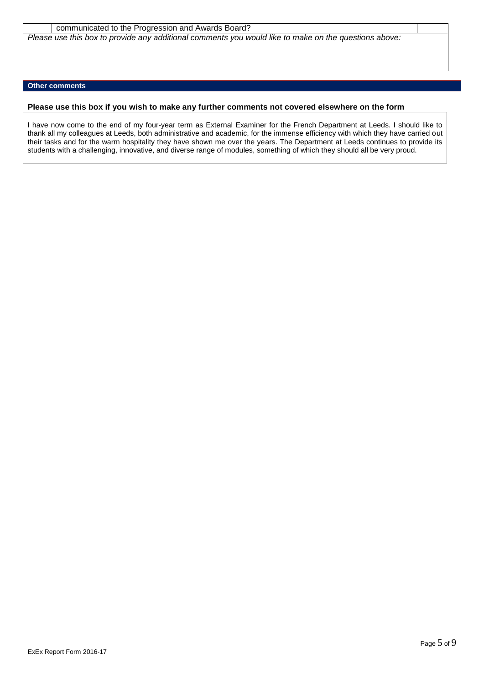communicated to the Progression and Awards Board? *Please use this box to provide any additional comments you would like to make on the questions above:*

## **Other comments**

### **Please use this box if you wish to make any further comments not covered elsewhere on the form**

I have now come to the end of my four-year term as External Examiner for the French Department at Leeds. I should like to thank all my colleagues at Leeds, both administrative and academic, for the immense efficiency with which they have carried out their tasks and for the warm hospitality they have shown me over the years. The Department at Leeds continues to provide its students with a challenging, innovative, and diverse range of modules, something of which they should all be very proud.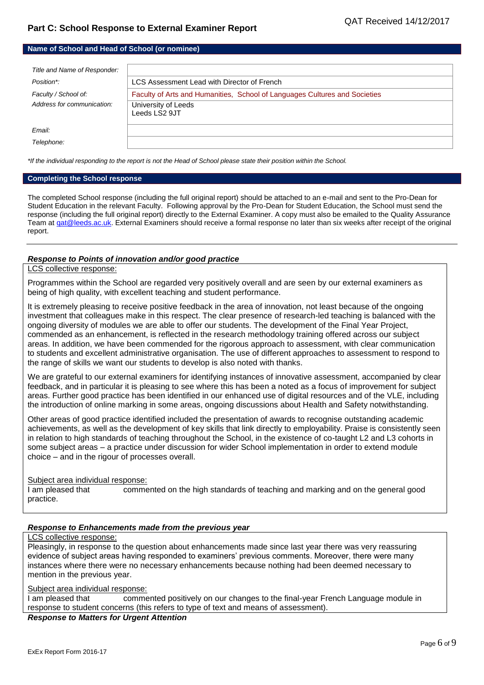## **Name of School and Head of School (or nominee)**

| Title and Name of Responder: |                                                                            |
|------------------------------|----------------------------------------------------------------------------|
| Position*:                   | LCS Assessment Lead with Director of French                                |
| Faculty / School of:         | Faculty of Arts and Humanities, School of Languages Cultures and Societies |
| Address for communication:   | University of Leeds<br>Leeds LS2 9JT                                       |
| Email:                       |                                                                            |
| Telephone:                   |                                                                            |

*\*If the individual responding to the report is not the Head of School please state their position within the School.*

#### **Completing the School response**

The completed School response (including the full original report) should be attached to an e-mail and sent to the Pro-Dean for Student Education in the relevant Faculty. Following approval by the Pro-Dean for Student Education, the School must send the response (including the full original report) directly to the External Examiner. A copy must also be emailed to the Quality Assurance Team at gat@leeds.ac.uk. External Examiners should receive a formal response no later than six weeks after receipt of the original report.

## *Response to Points of innovation and/or good practice*

### LCS collective response:

Programmes within the School are regarded very positively overall and are seen by our external examiners as being of high quality, with excellent teaching and student performance.

It is extremely pleasing to receive positive feedback in the area of innovation, not least because of the ongoing investment that colleagues make in this respect. The clear presence of research-led teaching is balanced with the ongoing diversity of modules we are able to offer our students. The development of the Final Year Project, commended as an enhancement, is reflected in the research methodology training offered across our subject areas. In addition, we have been commended for the rigorous approach to assessment, with clear communication to students and excellent administrative organisation. The use of different approaches to assessment to respond to the range of skills we want our students to develop is also noted with thanks.

We are grateful to our external examiners for identifying instances of innovative assessment, accompanied by clear feedback, and in particular it is pleasing to see where this has been a noted as a focus of improvement for subject areas. Further good practice has been identified in our enhanced use of digital resources and of the VLE, including the introduction of online marking in some areas, ongoing discussions about Health and Safety notwithstanding.

Other areas of good practice identified included the presentation of awards to recognise outstanding academic achievements, as well as the development of key skills that link directly to employability. Praise is consistently seen in relation to high standards of teaching throughout the School, in the existence of co-taught L2 and L3 cohorts in some subject areas – a practice under discussion for wider School implementation in order to extend module choice – and in the rigour of processes overall.

### Subject area individual response:

I am pleased that commented on the high standards of teaching and marking and on the general good practice.

### *Response to Enhancements made from the previous year*

#### LCS collective response:

Pleasingly, in response to the question about enhancements made since last year there was very reassuring evidence of subject areas having responded to examiners' previous comments. Moreover, there were many instances where there were no necessary enhancements because nothing had been deemed necessary to mention in the previous year.

Subject area individual response:

I am pleased that commented positively on our changes to the final-year French Language module in response to student concerns (this refers to type of text and means of assessment).

*Response to Matters for Urgent Attention*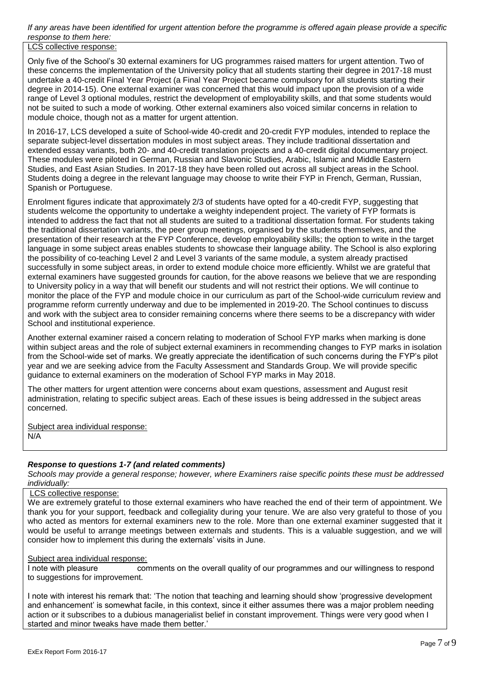*If any areas have been identified for urgent attention before the programme is offered again please provide a specific response to them here:*

LCS collective response:

Only five of the School's 30 external examiners for UG programmes raised matters for urgent attention. Two of these concerns the implementation of the University policy that all students starting their degree in 2017-18 must undertake a 40-credit Final Year Project (a Final Year Project became compulsory for all students starting their degree in 2014-15). One external examiner was concerned that this would impact upon the provision of a wide range of Level 3 optional modules, restrict the development of employability skills, and that some students would not be suited to such a mode of working. Other external examiners also voiced similar concerns in relation to module choice, though not as a matter for urgent attention.

In 2016-17, LCS developed a suite of School-wide 40-credit and 20-credit FYP modules, intended to replace the separate subject-level dissertation modules in most subject areas. They include traditional dissertation and extended essay variants, both 20- and 40-credit translation projects and a 40-credit digital documentary project. These modules were piloted in German, Russian and Slavonic Studies, Arabic, Islamic and Middle Eastern Studies, and East Asian Studies. In 2017-18 they have been rolled out across all subject areas in the School. Students doing a degree in the relevant language may choose to write their FYP in French, German, Russian, Spanish or Portuguese.

Enrolment figures indicate that approximately 2/3 of students have opted for a 40-credit FYP, suggesting that students welcome the opportunity to undertake a weighty independent project. The variety of FYP formats is intended to address the fact that not all students are suited to a traditional dissertation format. For students taking the traditional dissertation variants, the peer group meetings, organised by the students themselves, and the presentation of their research at the FYP Conference, develop employability skills; the option to write in the target language in some subject areas enables students to showcase their language ability. The School is also exploring the possibility of co-teaching Level 2 and Level 3 variants of the same module, a system already practised successfully in some subject areas, in order to extend module choice more efficiently. Whilst we are grateful that external examiners have suggested grounds for caution, for the above reasons we believe that we are responding to University policy in a way that will benefit our students and will not restrict their options. We will continue to monitor the place of the FYP and module choice in our curriculum as part of the School-wide curriculum review and programme reform currently underway and due to be implemented in 2019-20. The School continues to discuss and work with the subject area to consider remaining concerns where there seems to be a discrepancy with wider School and institutional experience.

Another external examiner raised a concern relating to moderation of School FYP marks when marking is done within subject areas and the role of subject external examiners in recommending changes to FYP marks in isolation from the School-wide set of marks. We greatly appreciate the identification of such concerns during the FYP's pilot year and we are seeking advice from the Faculty Assessment and Standards Group. We will provide specific guidance to external examiners on the moderation of School FYP marks in May 2018.

The other matters for urgent attention were concerns about exam questions, assessment and August resit administration, relating to specific subject areas. Each of these issues is being addressed in the subject areas concerned.

Subject area individual response: N/A

# *Response to questions 1-7 (and related comments)*

*Schools may provide a general response; however, where Examiners raise specific points these must be addressed individually:*

# LCS collective response:

We are extremely grateful to those external examiners who have reached the end of their term of appointment. We thank you for your support, feedback and collegiality during your tenure. We are also very grateful to those of you who acted as mentors for external examiners new to the role. More than one external examiner suggested that it would be useful to arrange meetings between externals and students. This is a valuable suggestion, and we will consider how to implement this during the externals' visits in June.

# Subject area individual response:

I note with pleasure comments on the overall quality of our programmes and our willingness to respond to suggestions for improvement.

I note with interest his remark that: 'The notion that teaching and learning should show 'progressive development and enhancement' is somewhat facile, in this context, since it either assumes there was a major problem needing action or it subscribes to a dubious managerialist belief in constant improvement. Things were very good when I started and minor tweaks have made them better.'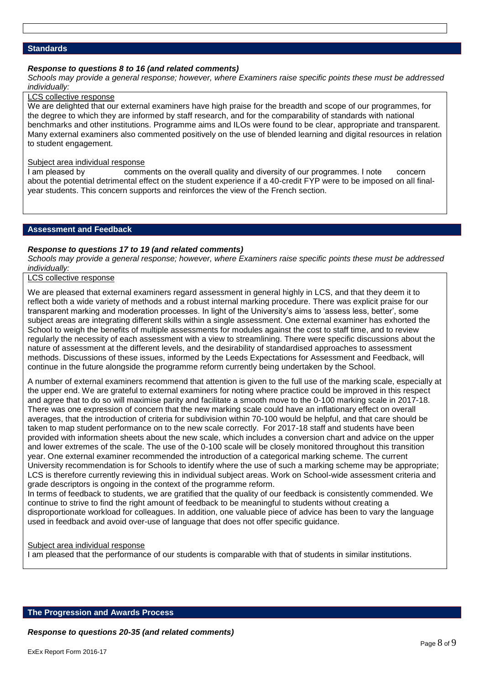## **Standards**

### *Response to questions 8 to 16 (and related comments)*

*Schools may provide a general response; however, where Examiners raise specific points these must be addressed individually:*

# LCS collective response

We are delighted that our external examiners have high praise for the breadth and scope of our programmes, for the degree to which they are informed by staff research, and for the comparability of standards with national benchmarks and other institutions. Programme aims and ILOs were found to be clear, appropriate and transparent. Many external examiners also commented positively on the use of blended learning and digital resources in relation to student engagement.

#### Subject area individual response

I am pleased by comments on the overall quality and diversity of our programmes. I note concern about the potential detrimental effect on the student experience if a 40-credit FYP were to be imposed on all finalyear students. This concern supports and reinforces the view of the French section.

# **Assessment and Feedback**

#### *Response to questions 17 to 19 (and related comments)*

*Schools may provide a general response; however, where Examiners raise specific points these must be addressed individually:*

# LCS collective response

We are pleased that external examiners regard assessment in general highly in LCS, and that they deem it to reflect both a wide variety of methods and a robust internal marking procedure. There was explicit praise for our transparent marking and moderation processes. In light of the University's aims to 'assess less, better', some subject areas are integrating different skills within a single assessment. One external examiner has exhorted the School to weigh the benefits of multiple assessments for modules against the cost to staff time, and to review regularly the necessity of each assessment with a view to streamlining. There were specific discussions about the nature of assessment at the different levels, and the desirability of standardised approaches to assessment methods. Discussions of these issues, informed by the Leeds Expectations for Assessment and Feedback, will continue in the future alongside the programme reform currently being undertaken by the School.

A number of external examiners recommend that attention is given to the full use of the marking scale, especially at the upper end. We are grateful to external examiners for noting where practice could be improved in this respect and agree that to do so will maximise parity and facilitate a smooth move to the 0-100 marking scale in 2017-18. There was one expression of concern that the new marking scale could have an inflationary effect on overall averages, that the introduction of criteria for subdivision within 70-100 would be helpful, and that care should be taken to map student performance on to the new scale correctly. For 2017-18 staff and students have been provided with information sheets about the new scale, which includes a conversion chart and advice on the upper and lower extremes of the scale. The use of the 0-100 scale will be closely monitored throughout this transition year. One external examiner recommended the introduction of a categorical marking scheme. The current University recommendation is for Schools to identify where the use of such a marking scheme may be appropriate; LCS is therefore currently reviewing this in individual subject areas. Work on School-wide assessment criteria and grade descriptors is ongoing in the context of the programme reform.

In terms of feedback to students, we are gratified that the quality of our feedback is consistently commended. We continue to strive to find the right amount of feedback to be meaningful to students without creating a disproportionate workload for colleagues. In addition, one valuable piece of advice has been to vary the language used in feedback and avoid over-use of language that does not offer specific guidance.

#### Subject area individual response

I am pleased that the performance of our students is comparable with that of students in similar institutions.

#### **The Progression and Awards Process**

*Response to questions 20-35 (and related comments)*